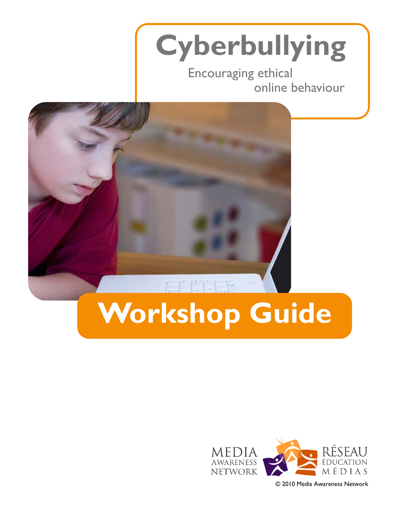# **Cyberbullying**

Encouraging ethical online behaviour



# **Workshop Guide**



© 2010 Media Awareness Network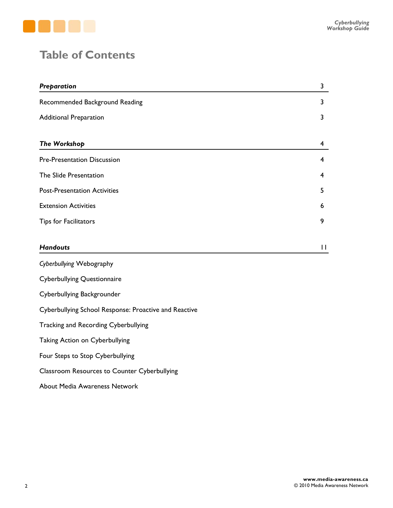

### **Table of Contents**

| Preparation                                           | 3            |
|-------------------------------------------------------|--------------|
| Recommended Background Reading                        | 3            |
| <b>Additional Preparation</b>                         | 3            |
|                                                       |              |
| The Workshop                                          | 4            |
| <b>Pre-Presentation Discussion</b>                    | 4            |
| The Slide Presentation                                | 4            |
| <b>Post-Presentation Activities</b>                   | 5            |
| <b>Extension Activities</b>                           | 6            |
| <b>Tips for Facilitators</b>                          | 9            |
| <b>Handouts</b>                                       | $\mathbf{H}$ |
| Cyberbullying Webography                              |              |
| <b>Cyberbullying Questionnaire</b>                    |              |
| Cyberbullying Backgrounder                            |              |
| Cyberbullying School Response: Proactive and Reactive |              |
| Tracking and Recording Cyberbullying                  |              |
| Taking Action on Cyberbullying                        |              |
| Four Steps to Stop Cyberbullying                      |              |

Classroom Resources to Counter Cyberbullying

About Media Awareness Network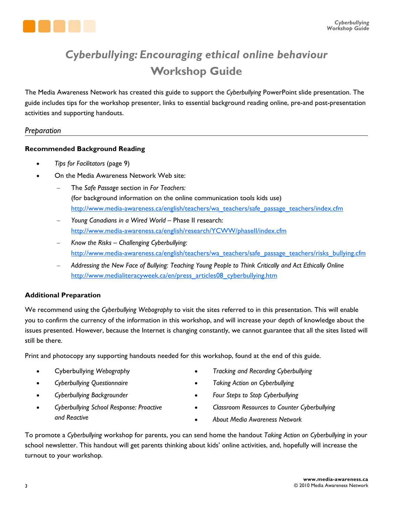

### *Cyberbullying: Encouraging ethical online behaviour*  **Workshop Guide**

The Media Awareness Network has created this guide to support the *Cyberbullying* PowerPoint slide presentation. The guide includes tips for the workshop presenter, links to essential background reading online, pre-and post-presentation activities and supporting handouts.

### *Preparation*

### **Recommended Background Reading**

- x *Tips for Facilitators* (page 9)
- On the Media Awareness Network Web site:
	- The *Safe Passage* section in *For Teachers:* (for background information on the online communication tools kids use) [http://www.media-awareness.ca/english/teachers/wa\\_teachers/safe\\_passage\\_teachers/index.cfm](http://www.media-awareness.ca/english/teachers/wa_teachers/safe_passage_teachers/index.cfm)
	- *Young Canadians in a Wired World*  Phase II research: <http://www.media-awareness.ca/english/research/YCWW/phaseII/index.cfm>
	- *Know the Risks Challenging Cyberbullying:*  [http://www.media-awareness.ca/english/teachers/wa\\_teachers/safe\\_passage\\_teachers/risks\\_bullying.cfm](http://www.media-awareness.ca/english/teachers/wa_teachers/safe_passage_teachers/risks_bullying.cfm)
	- *Addressing the New Face of Bullying: Teaching Young People to Think Critically and Act Ethically Online*  [http://www.medialiteracyweek.ca/en/press\\_articles08\\_cyberbullying.htm](http://www.medialiteracyweek.ca/en/press_articles08_cyberbullying.htm)

### **Additional Preparation**

We recommend using the *Cyberbullying Webography* to visit the sites referred to in this presentation. This will enable you to confirm the currency of the information in this workshop, and will increase your depth of knowledge about the issues presented. However, because the Internet is changing constantly, we cannot guarantee that all the sites listed will still be there.

Print and photocopy any supporting handouts needed for this workshop, found at the end of this guide.

- x Cyberbullying *Webography*
- x *Cyberbullying Questionnaire*
- x *Cyberbullying Backgrounder*
- x *Cyberbullying School Response: Proactive and Reactive*
- x *Tracking and Recording Cyberbullying*
- x *Taking Action on Cyberbullying*
- x *Four Steps to Stop Cyberbullying*
- x *Classroom Resources to Counter Cyberbullying*
- x *About Media Awareness Network*

To promote a *Cyberbullying* workshop for parents, you can send home the handout *Taking Action on Cyberbullying* in your school newsletter. This handout will get parents thinking about kids' online activities, and, hopefully will increase the turnout to your workshop.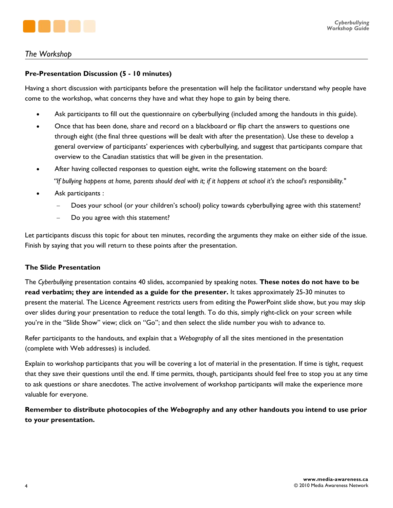

### *The Workshop*

### **Pre-Presentation Discussion (5 - 10 minutes)**

Having a short discussion with participants before the presentation will help the facilitator understand why people have come to the workshop, what concerns they have and what they hope to gain by being there.

- Ask participants to fill out the questionnaire on cyberbullying (included among the handouts in this guide).
- Once that has been done, share and record on a blackboard or flip chart the answers to questions one through eight (the final three questions will be dealt with after the presentation). Use these to develop a general overview of participants' experiences with cyberbullying, and suggest that participants compare that overview to the Canadian statistics that will be given in the presentation.
- After having collected responses to question eight, write the following statement on the board: *"If bullying happens at home, parents should deal with it; if it happens at school it's the school's responsibility."*
- Ask participants :
	- Does your school (or your children's school) policy towards cyberbullying agree with this statement?
	- Do you agree with this statement?

Let participants discuss this topic for about ten minutes, recording the arguments they make on either side of the issue. Finish by saying that you will return to these points after the presentation.

### **The Slide Presentation**

The *Cyberbullying* presentation contains 40 slides, accompanied by speaking notes. **These notes do not have to be read verbatim; they are intended as a guide for the presenter.** It takes approximately 25-30 minutes to present the material. The Licence Agreement restricts users from editing the PowerPoint slide show, but you may skip over slides during your presentation to reduce the total length. To do this, simply right-click on your screen while you're in the "Slide Show" view; click on "Go"; and then select the slide number you wish to advance to.

Refer participants to the handouts, and explain that a *Webography* of all the sites mentioned in the presentation (complete with Web addresses) is included.

Explain to workshop participants that you will be covering a lot of material in the presentation. If time is tight, request that they save their questions until the end. If time permits, though, participants should feel free to stop you at any time to ask questions or share anecdotes. The active involvement of workshop participants will make the experience more valuable for everyone.

**Remember to distribute photocopies of the** *Webography* **and any other handouts you intend to use prior to your presentation.**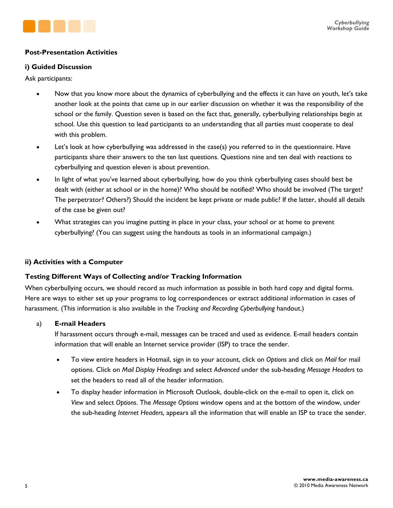

### **Post-Presentation Activities**

### **i) Guided Discussion**

Ask participants:

- Now that you know more about the dynamics of cyberbullying and the effects it can have on youth, let's take another look at the points that came up in our earlier discussion on whether it was the responsibility of the school or the family. Question seven is based on the fact that, generally, cyberbullying relationships begin at school. Use this question to lead participants to an understanding that all parties must cooperate to deal with this problem.
- Let's look at how cyberbullying was addressed in the case(s) you referred to in the questionnaire. Have participants share their answers to the ten last questions. Questions nine and ten deal with reactions to cyberbullying and question eleven is about prevention.
- In light of what you've learned about cyberbullying, how do you think cyberbullying cases should best be dealt with (either at school or in the home)? Who should be notified? Who should be involved (The target? The perpetrator? Others?) Should the incident be kept private or made public? If the latter, should all details of the case be given out?
- What strategies can you imagine putting in place in your class, your school or at home to prevent cyberbullying? (You can suggest using the handouts as tools in an informational campaign.)

### **ii) Activities with a Computer**

### **Testing Different Ways of Collecting and/or Tracking Information**

When cyberbullying occurs, we should record as much information as possible in both hard copy and digital forms. Here are ways to either set up your programs to log correspondences or extract additional information in cases of harassment. (This information is also available in the *Tracking and Recording Cyberbullying* handout.)

### a) **E-mail Headers**

If harassment occurs through e-mail, messages can be traced and used as evidence. E-mail headers contain information that will enable an Internet service provider (ISP) to trace the sender.

- x To view entire headers in Hotmail, sign in to your account, click on *Options* and click on *Mail* for mail options. Click on *Mail Display Headings* and select *Advanced* under the sub-heading *Message Headers* to set the headers to read all of the header information.
- To display header information in Microsoft Outlook, double-click on the e-mail to open it, click on *View* and select *Options*. The *Message Options* window opens and at the bottom of the window, under the sub-heading *Internet Headers,* appears all the information that will enable an ISP to trace the sender.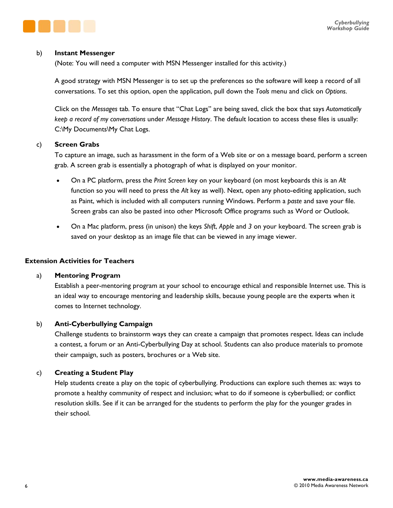

#### b) **Instant Messenger**

(Note: You will need a computer with MSN Messenger installed for this activity.)

A good strategy with MSN Messenger is to set up the preferences so the software will keep a record of all conversations. To set this option, open the application, pull down the *Tools* menu and click on *Options*.

Click on the *Messages* tab*.* To ensure that "Chat Logs" are being saved, click the box that says *Automatically keep a record of my conversations* under *Message History*. The default location to access these files is usually: C:\My Documents\My Chat Logs.

#### c) **Screen Grabs**

To capture an image, such as harassment in the form of a Web site or on a message board, perform a screen grab. A screen grab is essentially a photograph of what is displayed on your monitor.

- x On a PC platform, press the *Print Screen* key on your keyboard (on most keyboards this is an *Alt*  function so you will need to press the *Alt* key as well). Next, open any photo-editing application, such as Paint, which is included with all computers running Windows. Perform a *paste* and save your file. Screen grabs can also be pasted into other Microsoft Office programs such as Word or Outlook.
- x On a Mac platform, press (in unison) the keys *Shift*, *Apple* and *3* on your keyboard. The screen grab is saved on your desktop as an image file that can be viewed in any image viewer.

### **Extension Activities for Teachers**

### a) **Mentoring Program**

Establish a peer-mentoring program at your school to encourage ethical and responsible Internet use. This is an ideal way to encourage mentoring and leadership skills, because young people are the experts when it comes to Internet technology.

### b) **Anti-Cyberbullying Campaign**

Challenge students to brainstorm ways they can create a campaign that promotes respect. Ideas can include a contest, a forum or an Anti-Cyberbullying Day at school. Students can also produce materials to promote their campaign, such as posters, brochures or a Web site.

### c) **Creating a Student Play**

Help students create a play on the topic of cyberbullying. Productions can explore such themes as: ways to promote a healthy community of respect and inclusion; what to do if someone is cyberbullied; or conflict resolution skills. See if it can be arranged for the students to perform the play for the younger grades in their school.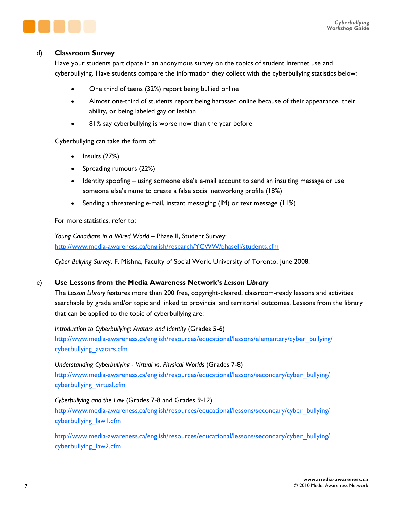

### d) **Classroom Survey**

Have your students participate in an anonymous survey on the topics of student Internet use and cyberbullying. Have students compare the information they collect with the cyberbullying statistics below:

- One third of teens (32%) report being bullied online
- Almost one-third of students report being harassed online because of their appearance, their ability, or being labeled gay or lesbian
- 81% say cyberbullying is worse now than the year before

Cyberbullying can take the form of:

- $\bullet$  Insults (27%)
- Spreading rumours (22%)
- $\bullet$  Identity spoofing using someone else's e-mail account to send an insulting message or use someone else's name to create a false social networking profile (18%)
- **•** Sending a threatening e-mail, instant messaging (IM) or text message (11%)

For more statistics, refer to:

*Young Canadians in a Wired World* – Phase II, Student Survey: <http://www.media-awareness.ca/english/research/YCWW/phaseII/students.cfm>

*Cyber Bullying Survey*, F. Mishna, Faculty of Social Work, University of Toronto, June 2008.

### e) **Use Lessons from the Media Awareness Network's** *Lesson Library*

The *Lesson Library* features more than 200 free, copyright-cleared, classroom-ready lessons and activities searchable by grade and/or topic and linked to provincial and territorial outcomes. Lessons from the library that can be applied to the topic of cyberbullying are:

*Introduction to Cyberbullying: Avatars and Identity* (Grades 5-6) [http://www.media-awareness.ca/english/resources/educational/lessons/elementary/cyber\\_bullying/](http://www.media-awareness.ca/english/resources/educational/lessons/elementary/cyber_bullying/cyberbullying_avatars.cfm) cyberbullying avatars.cfm

*Understanding Cyberbullying - Virtual vs. Physical Worlds* (Grades 7-8) [http://www.media-awareness.ca/english/resources/educational/lessons/secondary/cyber\\_bullying/](http://www.media-awareness.ca/english/resources/educational/lessons/secondary/cyber_bullying/cyberbullying_virtual.cfm) cyberbullying virtual.cfm

### *Cyberbullying and the Law* (Grades 7-8 and Grades 9-12)

[http://www.media-awareness.ca/english/resources/educational/lessons/secondary/cyber\\_bullying/](http://www.media-awareness.ca/english/resources/educational/lessons/secondary/cyber_bullying/cyberbullying_law1.cfm) cyberbullying\_law1.cfm

[http://www.media-awareness.ca/english/resources/educational/lessons/secondary/cyber\\_bullying/](http://www.media-awareness.ca/english/resources/educational/lessons/secondary/cyber_bullying/cyberbullying_law2.cfm) cyberbullying law2.cfm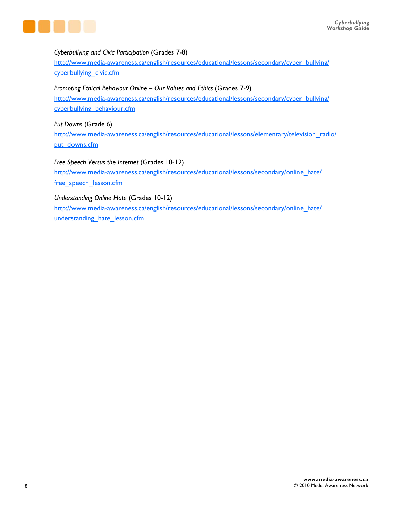

### *Cyberbullying and Civic Participation* (Grades 7-8)

[http://www.media-awareness.ca/english/resources/educational/lessons/secondary/cyber\\_bullying/](http://www.media-awareness.ca/english/resources/educational/lessons/secondary/cyber_bullying/cyberbullying_civic.cfm) cyberbullying civic.cfm

### *Promoting Ethical Behaviour Online* – *Our Values and Ethics* (Grades 7-9)

[http://www.media-awareness.ca/english/resources/educational/lessons/secondary/cyber\\_bullying/](http://www.media-awareness.ca/english/resources/educational/lessons/secondary/cyber_bullying/cyberbullying_behaviour.cfm) cyberbullying\_behaviour.cfm

### *Put Downs* (Grade 6)

[http://www.media-awareness.ca/english/resources/educational/lessons/elementary/television\\_radio/](http://www.media-awareness.ca/english/resources/educational/lessons/elementary/television_radio/put_downs.cfm) put\_downs.cfm

### *Free Speech Versus the Internet* (Grades 10-12)

[http://www.media-awareness.ca/english/resources/educational/lessons/secondary/online\\_hate/](http://www.media-awareness.ca/english/resources/educational/lessons/secondary/online_hate/free_speech_lesson.cfm) free speech lesson.cfm

### *Understanding Online Hate* (Grades 10-12)

[http://www.media-awareness.ca/english/resources/educational/lessons/secondary/online\\_hate/](http://www.media-awareness.ca/english/resources/educational/lessons/secondary/online_hate/understanding_hate_lesson.cfm) understanding hate lesson.cfm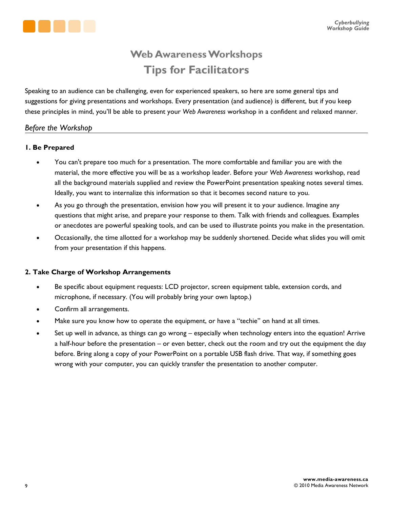

### **Web Awareness Workshops Tips for Facilitators**

Speaking to an audience can be challenging, even for experienced speakers, so here are some general tips and suggestions for giving presentations and workshops. Every presentation (and audience) is different, but if you keep these principles in mind, you'll be able to present your *Web Awareness* workshop in a confident and relaxed manner.

### *Before the Workshop*

### **1. Be Prepared**

- You can't prepare too much for a presentation. The more comfortable and familiar you are with the material, the more effective you will be as a workshop leader. Before your *Web Awareness* workshop, read all the background materials supplied and review the PowerPoint presentation speaking notes several times. Ideally, you want to internalize this information so that it becomes second nature to you.
- As you go through the presentation, envision how you will present it to your audience. Imagine any questions that might arise, and prepare your response to them. Talk with friends and colleagues. Examples or anecdotes are powerful speaking tools, and can be used to illustrate points you make in the presentation.
- Occasionally, the time allotted for a workshop may be suddenly shortened. Decide what slides you will omit from your presentation if this happens.

### **2. Take Charge of Workshop Arrangements**

- Be specific about equipment requests: LCD projector, screen equipment table, extension cords, and microphone, if necessary. (You will probably bring your own laptop.)
- Confirm all arrangements.
- Make sure you know how to operate the equipment, or have a "techie" on hand at all times.
- Set up well in advance, as things can go wrong especially when technology enters into the equation! Arrive a half-hour before the presentation – or even better, check out the room and try out the equipment the day before. Bring along a copy of your PowerPoint on a portable USB flash drive. That way, if something goes wrong with your computer, you can quickly transfer the presentation to another computer.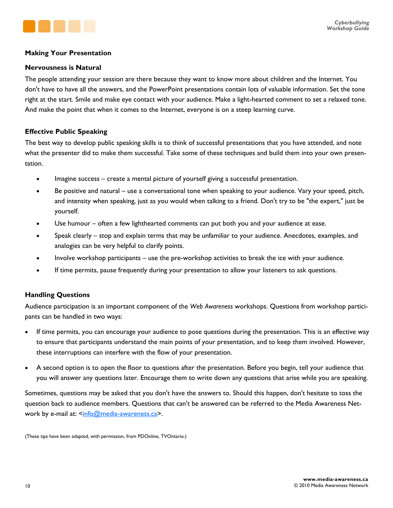

### **Making Your Presentation**

#### **Nervousness is Natural**

The people attending your session are there because they want to know more about children and the Internet. You don't have to have all the answers, and the PowerPoint presentations contain lots of valuable information. Set the tone right at the start. Smile and make eye contact with your audience. Make a light-hearted comment to set a relaxed tone. And make the point that when it comes to the Internet, everyone is on a steep learning curve.

### **Effective Public Speaking**

The best way to develop public speaking skills is to think of successful presentations that you have attended, and note what the presenter did to make them successful. Take some of these techniques and build them into your own presentation.

- Imagine success create a mental picture of yourself giving a successful presentation.
- Be positive and natural use a conversational tone when speaking to your audience. Vary your speed, pitch, and intensity when speaking, just as you would when talking to a friend. Don't try to be "the expert," just be yourself.
- Use humour often a few lighthearted comments can put both you and your audience at ease.
- Speak clearly stop and explain terms that may be unfamiliar to your audience. Anecdotes, examples, and analogies can be very helpful to clarify points.
- Involve workshop participants use the pre-workshop activities to break the ice with your audience.
- If time permits, pause frequently during your presentation to allow your listeners to ask questions.

### **Handling Questions**

Audience participation is an important component of the *Web Awareness* workshops. Questions from workshop participants can be handled in two ways:

- If time permits, you can encourage your audience to pose questions during the presentation. This is an effective way to ensure that participants understand the main points of your presentation, and to keep them involved. However, these interruptions can interfere with the flow of your presentation.
- A second option is to open the floor to questions after the presentation. Before you begin, tell your audience that you will answer any questions later. Encourage them to write down any questions that arise while you are speaking.

Sometimes, questions may be asked that you don't have the answers to. Should this happen, don't hesitate to toss the question back to audience members. Questions that can't be answered can be referred to the Media Awareness Net-work by e-mail at: [<info@media-awareness.ca](mailto:info@media-awareness.ca)>.

(These tips have been adapted, with permission, from PDOnline, TVOntario.)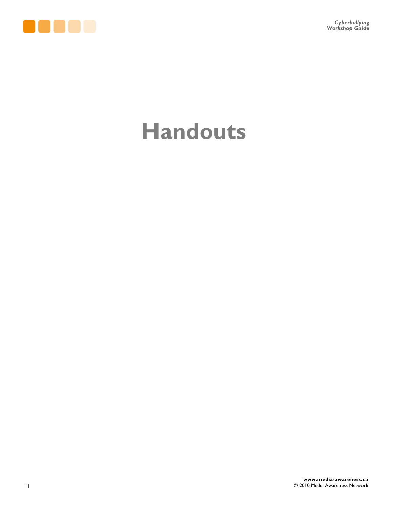

## **Handouts**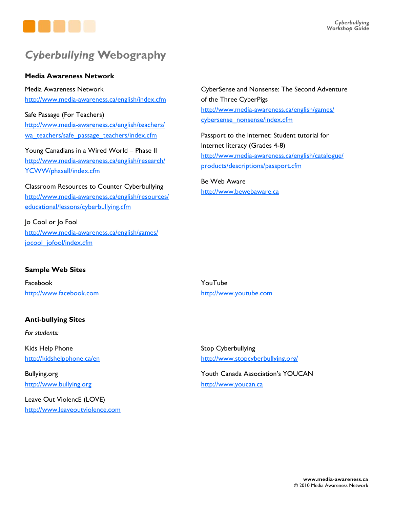

### *Cyberbullying* **Webography**

### **Media Awareness Network**

Media Awareness Network <http://www.media-awareness.ca/english/index.cfm>

Safe Passage (For Teachers) [http://www.media-awareness.ca/english/teachers/](http://www.media-awareness.ca/english/teachers/wa_teachers/safe_passage_teachers/index.cfm) wa\_teachers/safe\_passage\_teachers/index.cfm

Young Canadians in a Wired World – Phase II [http://www.media-awareness.ca/english/research/](http://www.media-awareness.ca/english/research/YCWW/phaseII/index.cfm) YCWW/phaseII/index.cfm

Classroom Resources to Counter Cyberbullying [http://www.media-awareness.ca/english/resources/](http://www.media-awareness.ca/english/resources/educational/lessons/cyberbullying.cfm) educational/lessons/cyberbullying.cfm

Jo Cool or Jo Fool [http://www.media-awareness.ca/english/games/](http://www.media-awareness.ca/english/games/jocool_jofool/index.cfm) jocool\_jofool/index.cfm

### **Sample Web Sites**

Facebook <http://www.facebook.com>

### **Anti-bullying Sites**

*For students:*

Kids Help Phone <http://kidshelpphone.ca/en>

Bullying.org <http://www.bullying.org>

Leave Out ViolencE (LOVE) <http://www.leaveoutviolence.com> CyberSense and Nonsense: The Second Adventure of the Three CyberPigs [http://www.media-awareness.ca/english/games/](http://www.media-awareness.ca/english/games/cybersense_nonsense/index.cfm) cybersense\_nonsense/index.cfm

Passport to the Internet: Student tutorial for Internet literacy (Grades 4-8) [http://www.media-awareness.ca/english/catalogue/](http://www.media-awareness.ca/english/catalogue/products/descriptions/passport.cfm) products/descriptions/passport.cfm

Be Web Aware <http://www.bewebaware.ca>

YouTube <http://www.youtube.com>

Stop Cyberbullying [http://www.stopcyberbullying.org/](http://www.stopcyberbullying.org)

Youth Canada Association's YOUCAN <http://www.youcan.ca>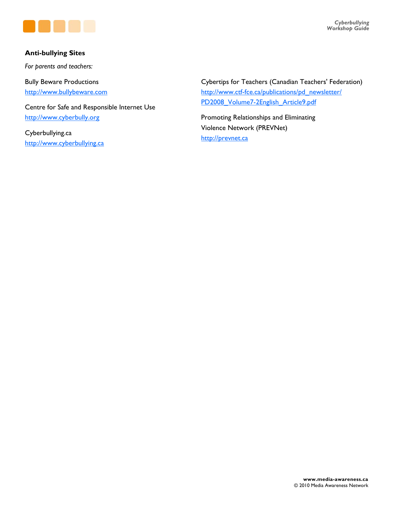

### **Anti-bullying Sites**

*For parents and teachers:*

Bully Beware Productions <http://www.bullybeware.com>

Centre for Safe and Responsible Internet Use <http://www.cyberbully.org>

Cyberbullying.ca <http://www.cyberbullying.ca> Cybertips for Teachers (Canadian Teachers' Federation) [http://www.ctf-fce.ca/publications/pd\\_newsletter/](http://www.ctf-fce.ca/publications/pd_newsletter/PD2008_Volume7-2English_Article9.pdf) PD2008\_Volume7-2English\_Article9.pdf

Promoting Relationships and Eliminating Violence Network (PREVNet) <http://prevnet.ca>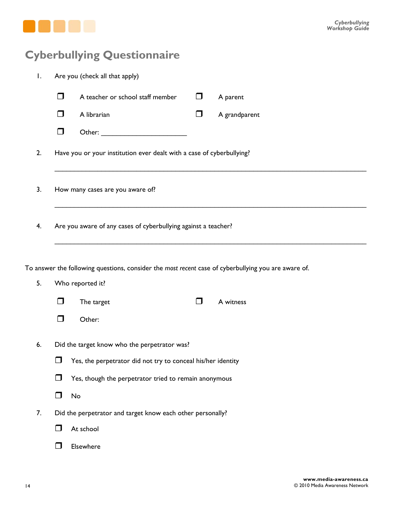

### **Cyberbullying Questionnaire**

| Ι.                                                                                                                            |                                                                      | Are you (check all that apply)                                        |        |               |  |  |  |  |  |
|-------------------------------------------------------------------------------------------------------------------------------|----------------------------------------------------------------------|-----------------------------------------------------------------------|--------|---------------|--|--|--|--|--|
|                                                                                                                               | 0                                                                    | A teacher or school staff member                                      | $\Box$ | A parent      |  |  |  |  |  |
|                                                                                                                               | $\Box$                                                               | A librarian                                                           | $\Box$ | A grandparent |  |  |  |  |  |
|                                                                                                                               | □                                                                    |                                                                       |        |               |  |  |  |  |  |
| 2.                                                                                                                            |                                                                      | Have you or your institution ever dealt with a case of cyberbullying? |        |               |  |  |  |  |  |
| 3.                                                                                                                            | How many cases are you aware of?                                     |                                                                       |        |               |  |  |  |  |  |
| 4.                                                                                                                            | Are you aware of any cases of cyberbullying against a teacher?       |                                                                       |        |               |  |  |  |  |  |
| To answer the following questions, consider the most recent case of cyberbullying you are aware of.<br>5.<br>Who reported it? |                                                                      |                                                                       |        |               |  |  |  |  |  |
|                                                                                                                               | □                                                                    | The target                                                            | $\Box$ | A witness     |  |  |  |  |  |
|                                                                                                                               | ⊓                                                                    | Other:                                                                |        |               |  |  |  |  |  |
| 6.                                                                                                                            | Did the target know who the perpetrator was?                         |                                                                       |        |               |  |  |  |  |  |
|                                                                                                                               | Yes, the perpetrator did not try to conceal his/her identity<br>l. I |                                                                       |        |               |  |  |  |  |  |
|                                                                                                                               | Yes, though the perpetrator tried to remain anonymous<br>H           |                                                                       |        |               |  |  |  |  |  |
|                                                                                                                               | No<br>$\Box$                                                         |                                                                       |        |               |  |  |  |  |  |
| 7.                                                                                                                            | Did the perpetrator and target know each other personally?           |                                                                       |        |               |  |  |  |  |  |
|                                                                                                                               | H                                                                    | At school                                                             |        |               |  |  |  |  |  |
|                                                                                                                               |                                                                      | Elsewhere                                                             |        |               |  |  |  |  |  |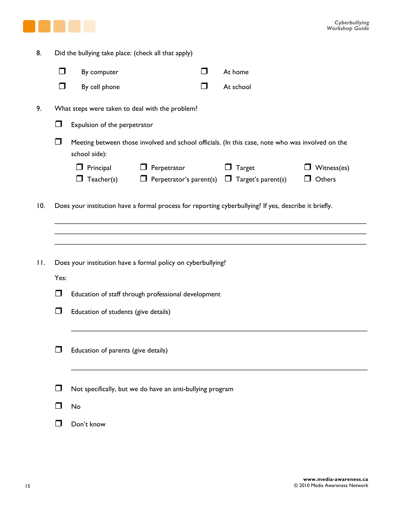

| 8.      | Did the bullying take place: (check all that apply)                  |                                                                                                                   |                    |        |                                                                    |                                 |  |  |  |
|---------|----------------------------------------------------------------------|-------------------------------------------------------------------------------------------------------------------|--------------------|--------|--------------------------------------------------------------------|---------------------------------|--|--|--|
|         | $\Box$                                                               | By computer                                                                                                       |                    | $\Box$ | At home                                                            |                                 |  |  |  |
|         | $\Box$                                                               | By cell phone                                                                                                     |                    | $\Box$ | At school                                                          |                                 |  |  |  |
| 9.      |                                                                      | What steps were taken to deal with the problem?                                                                   |                    |        |                                                                    |                                 |  |  |  |
|         | Expulsion of the perpetrator<br>ı.                                   |                                                                                                                   |                    |        |                                                                    |                                 |  |  |  |
|         | $\Box$                                                               | Meeting between those involved and school officials. (In this case, note who was involved on the<br>school side): |                    |        |                                                                    |                                 |  |  |  |
|         |                                                                      | $\Box$ Principal<br>Teacher(s)<br>⊔                                                                               | $\Box$ Perpetrator |        | Target<br>$\Box$ Perpetrator's parent(s) $\Box$ Target's parent(s) | Witness(es)<br>Others<br>$\Box$ |  |  |  |
| 10.     |                                                                      | Does your institution have a formal process for reporting cyberbullying? If yes, describe it briefly.             |                    |        |                                                                    |                                 |  |  |  |
| $\prod$ | Does your institution have a formal policy on cyberbullying?<br>Yes: |                                                                                                                   |                    |        |                                                                    |                                 |  |  |  |
|         | $\Box$                                                               | Education of staff through professional development                                                               |                    |        |                                                                    |                                 |  |  |  |
|         | $\Box$<br>Education of students (give details)                       |                                                                                                                   |                    |        |                                                                    |                                 |  |  |  |
|         | Education of parents (give details)                                  |                                                                                                                   |                    |        |                                                                    |                                 |  |  |  |
|         | $\mathbf{L}$                                                         | Not specifically, but we do have an anti-bullying program                                                         |                    |        |                                                                    |                                 |  |  |  |
|         |                                                                      | No                                                                                                                |                    |        |                                                                    |                                 |  |  |  |
|         |                                                                      | Don't know                                                                                                        |                    |        |                                                                    |                                 |  |  |  |
|         |                                                                      |                                                                                                                   |                    |        |                                                                    |                                 |  |  |  |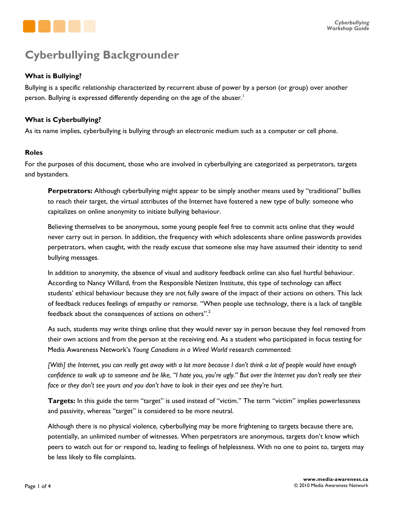

### **Cyberbullying Backgrounder**

### **What is Bullying?**

Bullying is a specific relationship characterized by recurrent abuse of power by a person (or group) over another person. Bullying is expressed differently depending on the age of the abuser.<sup>1</sup>

### **What is Cyberbullying?**

As its name implies, cyberbullying is bullying through an electronic medium such as a computer or cell phone.

### **Roles**

For the purposes of this document, those who are involved in cyberbullying are categorized as perpetrators, targets and bystanders.

**Perpetrators:** Although cyberbullying might appear to be simply another means used by "traditional" bullies to reach their target, the virtual attributes of the Internet have fostered a new type of bully: someone who capitalizes on online anonymity to initiate bullying behaviour.

Believing themselves to be anonymous, some young people feel free to commit acts online that they would never carry out in person. In addition, the frequency with which adolescents share online passwords provides perpetrators, when caught, with the ready excuse that someone else may have assumed their identity to send bullying messages.

In addition to anonymity, the absence of visual and auditory feedback online can also fuel hurtful behaviour. According to Nancy Willard, from the Responsible Netizen Institute, this type of technology can affect students' ethical behaviour because they are not fully aware of the impact of their actions on others. This lack of feedback reduces feelings of empathy or remorse. "When people use technology, there is a lack of tangible feedback about the consequences of actions on others".2

As such, students may write things online that they would never say in person because they feel removed from their own actions and from the person at the receiving end. As a student who participated in focus testing for Media Awareness Network's *Young Canadians in a Wired World* research commented:

*[With] the Internet, you can really get away with a lot more because I don't think a lot of people would have enough confidence to walk up to someone and be like, "I hate you, you're ugly." But over the Internet you don't really see their face or they don't see yours and you don't have to look in their eyes and see they're hurt.*

**Targets:** In this guide the term "target" is used instead of "victim." The term "victim" implies powerlessness and passivity, whereas "target" is considered to be more neutral.

Although there is no physical violence, cyberbullying may be more frightening to targets because there are, potentially, an unlimited number of witnesses. When perpetrators are anonymous, targets don't know which peers to watch out for or respond to, leading to feelings of helplessness. With no one to point to, targets may be less likely to file complaints.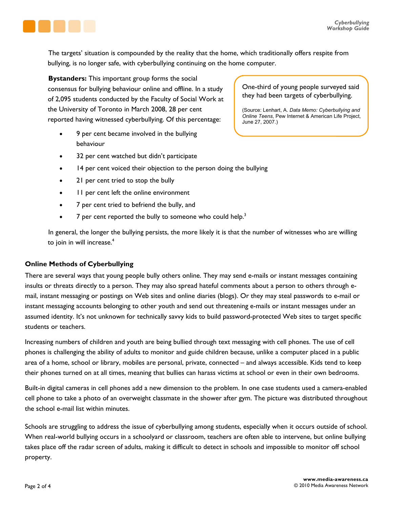

The targets' situation is compounded by the reality that the home, which traditionally offers respite from bullying, is no longer safe, with cyberbullying continuing on the home computer.

**Bystanders:** This important group forms the social consensus for bullying behaviour online and offline. In a study of 2,095 students conducted by the Faculty of Social Work at the University of Toronto in March 2008, 28 per cent reported having witnessed cyberbullying. Of this percentage:

- 9 per cent became involved in the bullying behaviour
- 32 per cent watched but didn't participate
- 14 per cent voiced their objection to the person doing the bullying
- 21 per cent tried to stop the bully
- 11 per cent left the online environment
- 7 per cent tried to befriend the bully, and
- $\overline{7}$  per cent reported the bully to someone who could help.<sup>3</sup>

In general, the longer the bullying persists, the more likely it is that the number of witnesses who are willing to join in will increase.<sup>4</sup>

### **Online Methods of Cyberbullying**

There are several ways that young people bully others online. They may send e-mails or instant messages containing insults or threats directly to a person. They may also spread hateful comments about a person to others through email, instant messaging or postings on Web sites and online diaries (blogs). Or they may steal passwords to e-mail or instant messaging accounts belonging to other youth and send out threatening e-mails or instant messages under an assumed identity. It's not unknown for technically savvy kids to build password-protected Web sites to target specific students or teachers.

Increasing numbers of children and youth are being bullied through text messaging with cell phones. The use of cell phones is challenging the ability of adults to monitor and guide children because, unlike a computer placed in a public area of a home, school or library, mobiles are personal, private, connected – and always accessible. Kids tend to keep their phones turned on at all times, meaning that bullies can harass victims at school or even in their own bedrooms.

Built-in digital cameras in cell phones add a new dimension to the problem. In one case students used a camera-enabled cell phone to take a photo of an overweight classmate in the shower after gym. The picture was distributed throughout the school e-mail list within minutes.

Schools are struggling to address the issue of cyberbullying among students, especially when it occurs outside of school. When real-world bullying occurs in a schoolyard or classroom, teachers are often able to intervene, but online bullying takes place off the radar screen of adults, making it difficult to detect in schools and impossible to monitor off school property.

One-third of young people surveyed said they had been targets of cyberbullying.

(Source: Lenhart, A. *Data Memo: Cyberbullying and Online Teens*, Pew Internet & American Life Project, June 27, 2007.)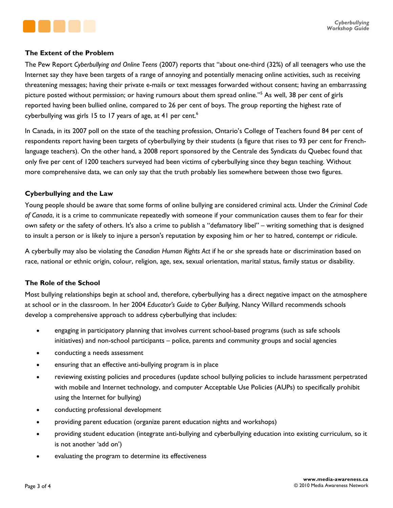

### **The Extent of the Problem**

The Pew Report *Cyberbullying and Online Teens* (2007) reports that "about one-third (32%) of all teenagers who use the Internet say they have been targets of a range of annoying and potentially menacing online activities, such as receiving threatening messages; having their private e-mails or text messages forwarded without consent; having an embarrassing picture posted without permission; or having rumours about them spread online."5 As well, 38 per cent of girls reported having been bullied online, compared to 26 per cent of boys. The group reporting the highest rate of cyberbullying was girls 15 to 17 years of age, at 41 per cent.<sup>6</sup>

In Canada, in its 2007 poll on the state of the teaching profession, Ontario's College of Teachers found 84 per cent of respondents report having been targets of cyberbullying by their students (a figure that rises to 93 per cent for Frenchlanguage teachers). On the other hand, a 2008 report sponsored by the Centrale des Syndicats du Quebec found that only five per cent of 1200 teachers surveyed had been victims of cyberbullying since they began teaching. Without more comprehensive data, we can only say that the truth probably lies somewhere between those two figures.

### **Cyberbullying and the Law**

Young people should be aware that some forms of online bullying are considered criminal acts. Under the *Criminal Code of Canada*, it is a crime to communicate repeatedly with someone if your communication causes them to fear for their own safety or the safety of others. It's also a crime to publish a "defamatory libel" – writing something that is designed to insult a person or is likely to injure a person's reputation by exposing him or her to hatred, contempt or ridicule.

A cyberbully may also be violating the *Canadian Human Rights Act* if he or she spreads hate or discrimination based on race, national or ethnic origin, colour, religion, age, sex, sexual orientation, marital status, family status or disability.

### **The Role of the School**

Most bullying relationships begin at school and, therefore, cyberbullying has a direct negative impact on the atmosphere at school or in the classroom. In her 2004 *Educator's Guide to Cyber Bullying*, Nancy Willard recommends schools develop a comprehensive approach to address cyberbullying that includes:

- engaging in participatory planning that involves current school-based programs (such as safe schools initiatives) and non-school participants – police, parents and community groups and social agencies
- conducting a needs assessment
- ensuring that an effective anti-bullying program is in place
- reviewing existing policies and procedures (update school bullying policies to include harassment perpetrated with mobile and Internet technology, and computer Acceptable Use Policies (AUPs) to specifically prohibit using the Internet for bullying)
- conducting professional development
- providing parent education (organize parent education nights and workshops)
- providing student education (integrate anti-bullying and cyberbullying education into existing curriculum, so it is not another 'add on')
- evaluating the program to determine its effectiveness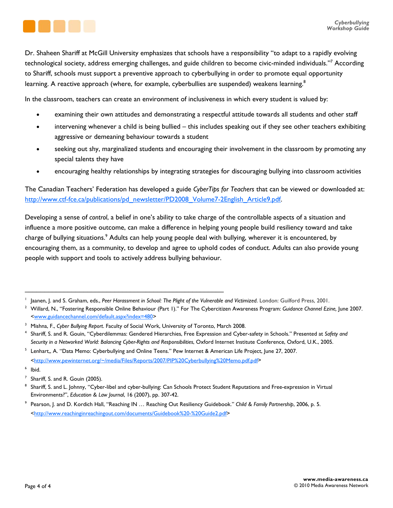

Dr. Shaheen Shariff at McGill University emphasizes that schools have a responsibility "to adapt to a rapidly evolving technological society, address emerging challenges, and guide children to become civic-minded individuals."7 According to Shariff, schools must support a preventive approach to cyberbullying in order to promote equal opportunity learning. A reactive approach (where, for example, cyberbullies are suspended) weakens learning.<sup>8</sup>

In the classroom, teachers can create an environment of inclusiveness in which every student is valued by:

- examining their own attitudes and demonstrating a respectful attitude towards all students and other staff
- intervening whenever a child is being bullied this includes speaking out if they see other teachers exhibiting aggressive or demeaning behaviour towards a student
- seeking out shy, marginalized students and encouraging their involvement in the classroom by promoting any special talents they have
- encouraging healthy relationships by integrating strategies for discouraging bullying into classroom activities

The Canadian Teachers' Federation has developed a guide *CyberTips for Teachers* that can be viewed or downloaded at: [http://www.ctf-fce.ca/publications/pd\\_newsletter/PD2008\\_Volume7-2English\\_Article9.pdf.](http://www.ctf-fce.ca/publications/pd_newsletter/PD2008_Volume7-2English_Article9.pdf) 

Developing a sense of *control*, a belief in one's ability to take charge of the controllable aspects of a situation and influence a more positive outcome, can make a difference in helping young people build resiliency toward and take charge of bullying situations.<sup>9</sup> Adults can help young people deal with bullying, wherever it is encountered, by encouraging them, as a community, to develop and agree to uphold codes of conduct. Adults can also provide young people with support and tools to actively address bullying behaviour.

\_\_\_\_\_\_\_\_\_\_\_\_\_\_\_\_\_\_\_\_\_\_\_\_\_\_\_\_\_\_\_\_\_\_\_\_\_\_\_\_\_\_\_\_\_\_\_\_\_\_\_

<sup>1</sup> Jaanen, J. and S. Graham, eds., Peer Harassment in School: The Plight of the Vulnerable and Victimized. London: Guilford Press, 2001.

Willard, N., "Fostering Responsible Online Behaviour (Part 1)." For The Cybercitizen Awareness Program: *Guidance Channel Ezine,* June 2007. [<www.guidancechannel.com/default.aspx?index=480>](http://www.guidancechannel.com/default.aspx?index=480) 

<sup>&</sup>lt;sup>3</sup> Mishna, F., Cyber Bullying Report. Faculty of Social Work, University of Toronto, March 2008.

<sup>&</sup>lt;sup>4</sup> Shariff, S. and R. Gouin, "Cyberdilemmas: Gendered Hierarchies, Free Expression and Cyber-safety in Schools." Presented at Safety and *Security in a Networked World: Balancing Cyber-Rights and Responsibilities*, Oxford Internet Institute Conference, Oxford, U.K., 2005.

 $^5$  Lenhart,, A. "Data Memo: Cyberbullying and Online Teens." Pew Internet & American Life Project, June 27, 2007. [<http://www.pewinternet.org/~/media/Files/Reports/2007/PIP%20Cyberbullying%20Memo.pdf.pdf>](http://www.pewinternet.org/~/media/Files/Reports/2007/PIP%20Cyberbullying%20Memo.pdf.pdf)

<sup>6</sup> Ibid.

 $<sup>7</sup>$  Shariff, S. and R. Gouin (2005).</sup>

<sup>8</sup> Shariff, S. and L. Johnny, "Cyber-libel and cyber-bullying: Can Schools Protect Student Reputations and Free-expression in Virtual Environments?", *Education & Law Journal*, 16 (2007), pp. 307-42.

<sup>9</sup> Pearson, J. and D. Kordich Hall, "Reaching IN … Reaching Out Resiliency Guidebook." *Child & Family Partnership*, 2006, p. 5. [<http://www.reachinginreachingout.com/documents/Guidebook%20-%20Guide2.pdf>](http://www.reachinginreachingout.com/documents/Guidebook%20-%20Guide2.pdf)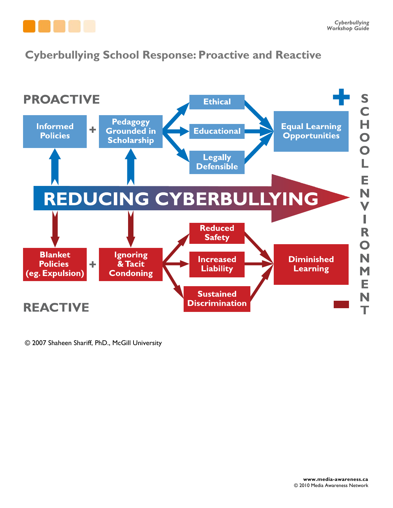

### **Cyberbullying School Response: Proactive and Reactive**



© 2007 Shaheen Shariff, PhD., McGill University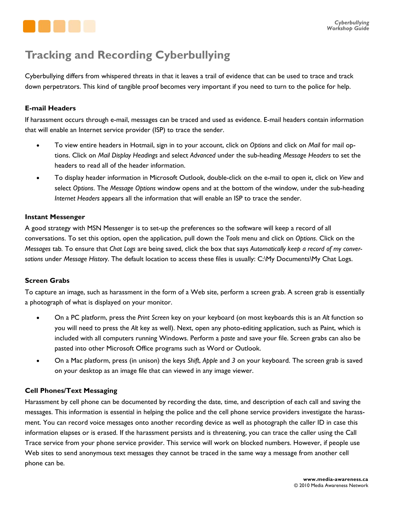

### **Tracking and Recording Cyberbullying**

Cyberbullying differs from whispered threats in that it leaves a trail of evidence that can be used to trace and track down perpetrators. This kind of tangible proof becomes very important if you need to turn to the police for help.

### **E-mail Headers**

If harassment occurs through e-mail, messages can be traced and used as evidence. E-mail headers contain information that will enable an Internet service provider (ISP) to trace the sender.

- x To view entire headers in Hotmail, sign in to your account, click on *Options* and click on *Mail* for mail options. Click on *Mail Display Headings* and select *Advanced* under the sub-heading *Message Headers* to set the headers to read all of the header information.
- x To display header information in Microsoft Outlook, double-click on the e-mail to open it, click on *View* and select *Options*. The *Message Options* window opens and at the bottom of the window, under the sub-heading *Internet Headers* appears all the information that will enable an ISP to trace the sender.

### **Instant Messenger**

A good strategy with MSN Messenger is to set-up the preferences so the software will keep a record of all conversations. To set this option, open the application, pull down the *Tools* menu and click on *Options*. Click on the *Messages* tab*.* To ensure that *Chat Logs* are being saved, click the box that says *Automatically keep a record of my conversations* under *Message History*. The default location to access these files is usually: C:\My Documents\My Chat Logs.

### **Screen Grabs**

To capture an image, such as harassment in the form of a Web site, perform a screen grab. A screen grab is essentially a photograph of what is displayed on your monitor.

- x On a PC platform, press the *Print Screen* key on your keyboard (on most keyboards this is an *Alt* function so you will need to press the *Alt* key as well). Next, open any photo-editing application, such as Paint, which is included with all computers running Windows. Perform a *paste* and save your file. Screen grabs can also be pasted into other Microsoft Office programs such as Word or Outlook.
- x On a Mac platform, press (in unison) the keys *Shift*, *Apple* and *3* on your keyboard. The screen grab is saved on your desktop as an image file that can viewed in any image viewer.

### **Cell Phones/Text Messaging**

Harassment by cell phone can be documented by recording the date, time, and description of each call and saving the messages. This information is essential in helping the police and the cell phone service providers investigate the harassment. You can record voice messages onto another recording device as well as photograph the caller ID in case this information elapses or is erased. If the harassment persists and is threatening, you can trace the caller using the Call Trace service from your phone service provider. This service will work on blocked numbers. However, if people use Web sites to send anonymous text messages they cannot be traced in the same way a message from another cell phone can be.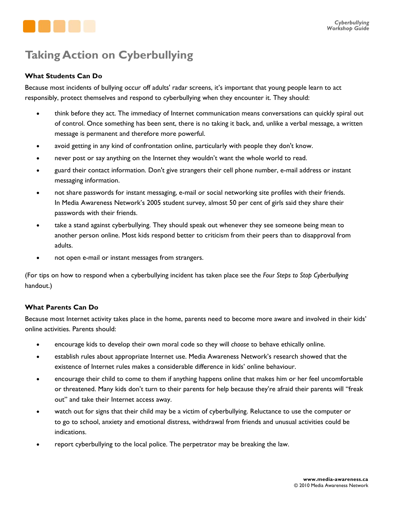

### **Taking Action on Cyberbullying**

### **What Students Can Do**

Because most incidents of bullying occur off adults' radar screens, it's important that young people learn to act responsibly, protect themselves and respond to cyberbullying when they encounter it. They should:

- think before they act. The immediacy of Internet communication means conversations can quickly spiral out of control. Once something has been sent, there is no taking it back, and, unlike a verbal message, a written message is permanent and therefore more powerful.
- avoid getting in any kind of confrontation online, particularly with people they don't know.
- never post or say anything on the Internet they wouldn't want the whole world to read.
- guard their contact information. Don't give strangers their cell phone number, e-mail address or instant messaging information.
- not share passwords for instant messaging, e-mail or social networking site profiles with their friends. In Media Awareness Network's 2005 student survey, almost 50 per cent of girls said they share their passwords with their friends.
- take a stand against cyberbullying. They should speak out whenever they see someone being mean to another person online. Most kids respond better to criticism from their peers than to disapproval from adults.
- not open e-mail or instant messages from strangers.

(For tips on how to respond when a cyberbullying incident has taken place see the *Four Steps to Stop Cyberbullying*  handout.)

### **What Parents Can Do**

Because most Internet activity takes place in the home, parents need to become more aware and involved in their kids' online activities. Parents should:

- **•** encourage kids to develop their own moral code so they will *choose* to behave ethically online.
- establish rules about appropriate Internet use. Media Awareness Network's research showed that the existence of Internet rules makes a considerable difference in kids' online behaviour.
- encourage their child to come to them if anything happens online that makes him or her feel uncomfortable or threatened. Many kids don't turn to their parents for help because they're afraid their parents will "freak out" and take their Internet access away.
- watch out for signs that their child may be a victim of cyberbullying. Reluctance to use the computer or to go to school, anxiety and emotional distress, withdrawal from friends and unusual activities could be indications.
- report cyberbullying to the local police. The perpetrator may be breaking the law.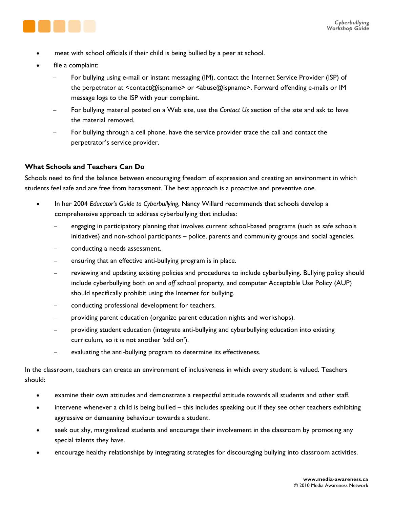

- meet with school officials if their child is being bullied by a peer at school.
- file a complaint:
	- For bullying using e-mail or instant messaging (IM), contact the Internet Service Provider (ISP) of the perpetrator at <contact@ispname> or <abuse@ispname>. Forward offending e-mails or IM message logs to the ISP with your complaint.
	- For bullying material posted on a Web site, use the *Contact Us* section of the site and ask to have the material removed.
	- For bullying through a cell phone, have the service provider trace the call and contact the perpetrator's service provider.

### **What Schools and Teachers Can Do**

Schools need to find the balance between encouraging freedom of expression and creating an environment in which students feel safe and are free from harassment. The best approach is a proactive and preventive one.

- x In her 2004 *Educator's Guide to Cyberbullying*, Nancy Willard recommends that schools develop a comprehensive approach to address cyberbullying that includes:
	- engaging in participatory planning that involves current school-based programs (such as safe schools initiatives) and non-school participants – police, parents and community groups and social agencies.
	- conducting a needs assessment.
	- ensuring that an effective anti-bullying program is in place.
	- reviewing and updating existing policies and procedures to include cyberbullying. Bullying policy should include cyberbullying both *on* and *off* school property, and computer Acceptable Use Policy (AUP) should specifically prohibit using the Internet for bullying.
	- conducting professional development for teachers.
	- providing parent education (organize parent education nights and workshops).
	- providing student education (integrate anti-bullying and cyberbullying education into existing curriculum, so it is not another 'add on').
	- evaluating the anti-bullying program to determine its effectiveness.

In the classroom, teachers can create an environment of inclusiveness in which every student is valued. Teachers should:

- examine their own attitudes and demonstrate a respectful attitude towards all students and other staff.
- intervene whenever a child is being bullied this includes speaking out if they see other teachers exhibiting aggressive or demeaning behaviour towards a student.
- seek out shy, marginalized students and encourage their involvement in the classroom by promoting any special talents they have.
- encourage healthy relationships by integrating strategies for discouraging bullying into classroom activities.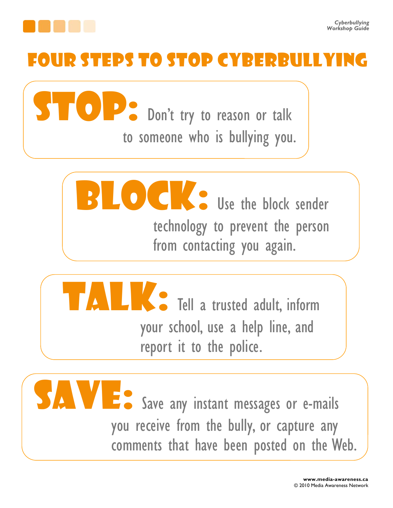

## FOUR STEPS TO STOP CYBERBU

**Stop:** Don't try to reason or talk to someone who is bullying you.





Save any instant messages or e-mails you receive from the bully, or capture any comments that have been posted on the Web.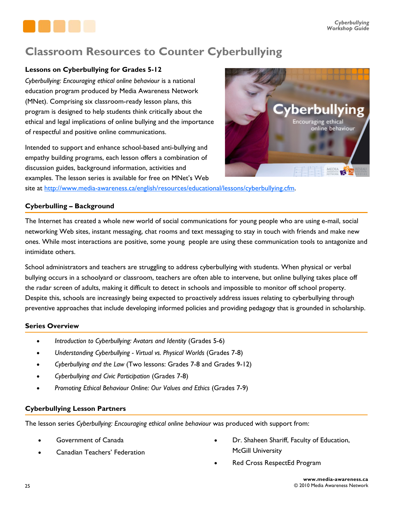

### **Classroom Resources to Counter Cyberbullying**

### **Lessons on Cyberbullying for Grades 5-12**

*Cyberbullying: Encouraging ethical online behaviour* is a national education program produced by Media Awareness Network (MNet). Comprising six classroom-ready lesson plans, this program is designed to help students think critically about the ethical and legal implications of online bullying and the importance of respectful and positive online communications.

Intended to support and enhance school-based anti-bullying and empathy building programs, each lesson offers a combination of discussion guides, background information, activities and examples. The lesson series is available for free on MNet's Web



site at [http://www.media-awareness.ca/english/resources/educational/lessons/cyberbullying.cfm.](http://www.media-awareness.ca/english/resources/educational/lessons/cyberbullying.cfm)

### **Cyberbulling – Background**

The Internet has created a whole new world of social communications for young people who are using e-mail, social networking Web sites, instant messaging, chat rooms and text messaging to stay in touch with friends and make new ones. While most interactions are positive, some young people are using these communication tools to antagonize and intimidate others.

School administrators and teachers are struggling to address cyberbullying with students. When physical or verbal bullying occurs in a schoolyard or classroom, teachers are often able to intervene, but online bullying takes place off the radar screen of adults, making it difficult to detect in schools and impossible to monitor off school property. Despite this, schools are increasingly being expected to proactively address issues relating to cyberbullying through preventive approaches that include developing informed policies and providing pedagogy that is grounded in scholarship.

### **Series Overview**

- *Introduction to Cyberbullying: Avatars and Identity (Grades 5-6)*
- x *Understanding Cyberbullying Virtual vs. Physical Worlds* (Grades 7-8)
- x *Cyberbullying and the Law* (Two lessons: Grades 7-8 and Grades 9-12)
- x *Cyberbullying and Civic Participation* (Grades 7-8)
- x *Promoting Ethical Behaviour Online: Our Values and Ethics* (Grades 7-9)

### **Cyberbullying Lesson Partners**

The lesson series *Cyberbullying: Encouraging ethical online behaviour* was produced with support from:

- Government of Canada
- Canadian Teachers' Federation
- Dr. Shaheen Shariff, Faculty of Education, McGill University
- Red Cross RespectEd Program